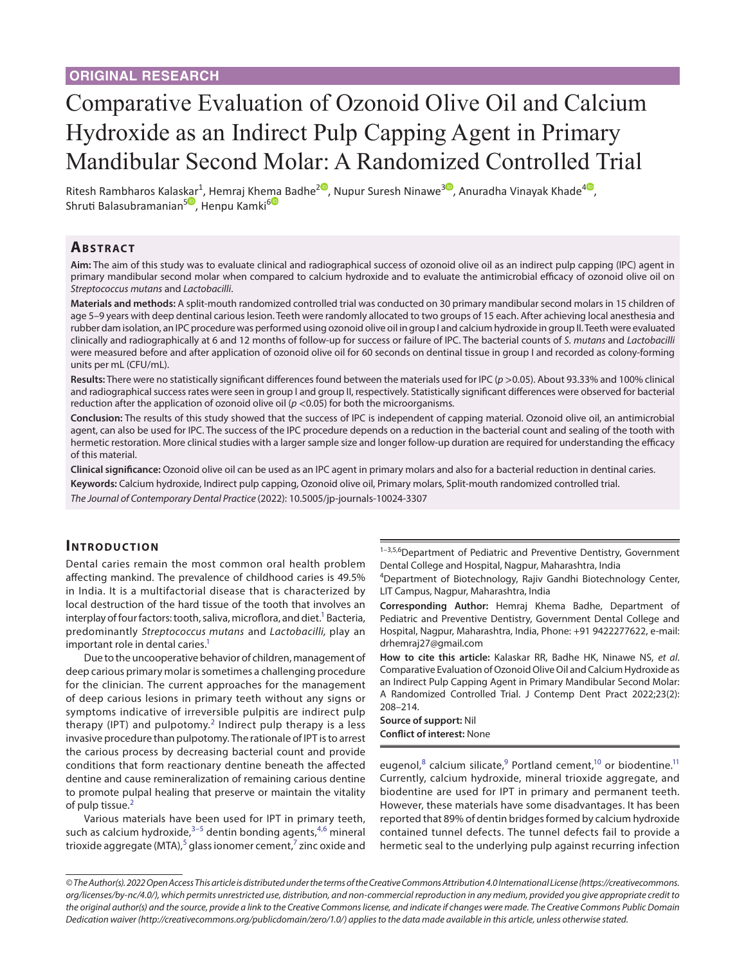# Comparative Evaluation of Ozonoid Olive Oil and Calcium Hydroxide as an Indirect Pulp Capping Agent in Primary Mandibular Second Molar: A Randomized Controlled Trial

Ritesh Rambharos Kalas[kar](https://orcid.org/0000-0002-7666-3981
)<sup>1</sup>, Hemraj Khe[ma](https://orcid.org/0000-0002-8150-4002) Badhe<sup>[2](https://orcid.org/0000-0001-6030-6317)0</sup>[,](https://orcid.org/0000-0003-1403-4634) Nupur Suresh Ninawe<sup>30</sup>, Anuradha Vinayak Khade<sup>[4](https://orcid.org/0000-0002-1548-6344)0</sup>, Shruti Balasubramanian<sup>5</sup>, Henpu Kamki<sup>6</sup>

## **Ab s t rac t**

**Aim:** The aim of this study was to evaluate clinical and radiographical success of ozonoid olive oil as an indirect pulp capping (IPC) agent in primary mandibular second molar when compared to calcium hydroxide and to evaluate the antimicrobial efficacy of ozonoid olive oil on *Streptococcus mutans* and *Lactobacilli*.

**Materials and methods:** A split-mouth randomized controlled trial was conducted on 30 primary mandibular second molars in 15 children of age 5–9 years with deep dentinal carious lesion. Teeth were randomly allocated to two groups of 15 each. After achieving local anesthesia and rubber dam isolation, an IPC procedure was performed using ozonoid olive oil in group I and calcium hydroxide in group II. Teeth were evaluated clinically and radiographically at 6 and 12 months of follow-up for success or failure of IPC. The bacterial counts of *S. mutans* and *Lactobacilli*  were measured before and after application of ozonoid olive oil for 60 seconds on dentinal tissue in group I and recorded as colony-forming units per mL (CFU/mL).

Results: There were no statistically significant differences found between the materials used for IPC (*p* >0.05). About 93.33% and 100% clinical and radiographical success rates were seen in group I and group II, respectively. Statistically significant differences were observed for bacterial reduction after the application of ozonoid olive oil (*p* <0.05) for both the microorganisms.

**Conclusion:** The results of this study showed that the success of IPC is independent of capping material. Ozonoid olive oil, an antimicrobial agent, can also be used for IPC. The success of the IPC procedure depends on a reduction in the bacterial count and sealing of the tooth with hermetic restoration. More clinical studies with a larger sample size and longer follow-up duration are required for understanding the efficacy of this material.

**Clinical significance:** Ozonoid olive oil can be used as an IPC agent in primary molars and also for a bacterial reduction in dentinal caries.

**Keywords:** Calcium hydroxide, Indirect pulp capping, Ozonoid olive oil, Primary molars, Split-mouth randomized controlled trial.

*The Journal of Contemporary Dental Practice* (2022): 10.5005/jp-journals-10024-3307

#### **INTRODUCTION**

Dental caries remain the most common oral health problem affecting mankind. The prevalence of childhood caries is 49.5% in India. It is a multifactorial disease that is characterized by local destruction of the hard tissue of the tooth that involves an interplay of four factors: tooth, saliva, microflora, and diet.<sup>1</sup> Bacteria, predominantly *Streptococcus mutans* and *Lactobacilli,* play an important role in dental caries.<sup>1</sup>

Due to the uncooperative behavior of children, management of deep carious primary molar is sometimes a challenging procedure for the clinician. The current approaches for the management of deep carious lesions in primary teeth without any signs or symptoms indicative of irreversible pulpitis are indirect pulp therapy (IPT) and pulpotomy.<sup>[2](#page-5-1)</sup> Indirect pulp therapy is a less invasive procedure than pulpotomy. The rationale of IPT is to arrest the carious process by decreasing bacterial count and provide conditions that form reactionary dentine beneath the affected dentine and cause remineralization of remaining carious dentine to promote pulpal healing that preserve or maintain the vitality of pulp tissue.<sup>[2](#page-5-1)</sup>

Various materials have been used for IPT in primary teeth, such as calcium hydroxide,<sup>[3–](#page-5-2)[5](#page-5-3)</sup> dentin bonding agents,<sup>[4,](#page-5-4)[6](#page-5-5)</sup> mineral trioxide aggregate (MTA),<sup>[5](#page-5-3)</sup> glass ionomer cement,<sup>[7](#page-5-6)</sup> zinc oxide and 1-3,5,6 Department of Pediatric and Preventive Dentistry, Government Dental College and Hospital, Nagpur, Maharashtra, India

4 Department of Biotechnology, Rajiv Gandhi Biotechnology Center, LIT Campus, Nagpur, Maharashtra, India

**Corresponding Author:** Hemraj Khema Badhe, Department of Pediatric and Preventive Dentistry, Government Dental College and Hospital, Nagpur, Maharashtra, India, Phone: +91 9422277622, e-mail: drhemraj27@gmail.com

**How to cite this article:** Kalaskar RR, Badhe HK, Ninawe NS, *et al*. Comparative Evaluation of Ozonoid Olive Oil and Calcium Hydroxide as an Indirect Pulp Capping Agent in Primary Mandibular Second Molar: A Randomized Controlled Trial. J Contemp Dent Pract 2022;23(2): 208–214.

**Source of support:** Nil **Conflict of interest:** None

eugenol, ${}^{8}$  ${}^{8}$  ${}^{8}$  calcium silicate, ${}^{9}$  ${}^{9}$  ${}^{9}$  Portland cement, ${}^{10}$  or biodentine. ${}^{11}$ Currently, calcium hydroxide, mineral trioxide aggregate, and biodentine are used for IPT in primary and permanent teeth. However, these materials have some disadvantages. It has been reported that 89% of dentin bridges formed by calcium hydroxide contained tunnel defects. The tunnel defects fail to provide a hermetic seal to the underlying pulp against recurring infection

*<sup>©</sup> The Author(s). 2022 Open Access This article is distributed under the terms of the Creative Commons Attribution 4.0 International License ([https://creativecommons.](https://creativecommons.org/licenses/by-nc/4.0/) [org/licenses/by-nc/4.0/](https://creativecommons.org/licenses/by-nc/4.0/)), which permits unrestricted use, distribution, and non-commercial reproduction in any medium, provided you give appropriate credit to the original author(s) and the source, provide a link to the Creative Commons license, and indicate if changes were made. The Creative Commons Public Domain Dedication waiver ([http://creativecommons.org/publicdomain/zero/1.0/\)](http://creativecommons.org/publicdomain/zero/1.0/) applies to the data made available in this article, unless otherwise stated.*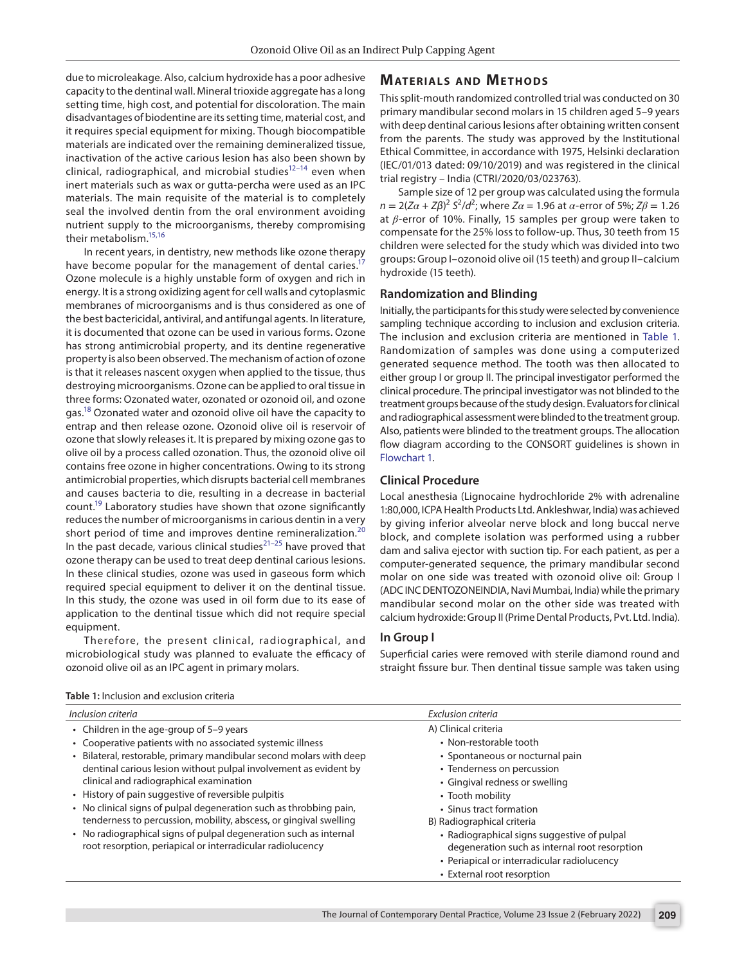due to microleakage. Also, calcium hydroxide has a poor adhesive capacity to the dentinal wall. Mineral trioxide aggregate has a long setting time, high cost, and potential for discoloration. The main disadvantages of biodentine are its setting time, material cost, and it requires special equipment for mixing. Though biocompatible materials are indicated over the remaining demineralized tissue, inactivation of the active carious lesion has also been shown by clinical, radiographical, and microbial studies $12-14$  even when inert materials such as wax or gutta-percha were used as an IPC materials. The main requisite of the material is to completely seal the involved dentin from the oral environment avoiding nutrient supply to the microorganisms, thereby compromising their metabolism[.15](#page-6-1)[,16](#page-6-2)

In recent years, in dentistry, new methods like ozone therapy have become popular for the management of dental caries.<sup>17</sup> Ozone molecule is a highly unstable form of oxygen and rich in energy. It is a strong oxidizing agent for cell walls and cytoplasmic membranes of microorganisms and is thus considered as one of the best bactericidal, antiviral, and antifungal agents. In literature, it is documented that ozone can be used in various forms. Ozone has strong antimicrobial property, and its dentine regenerative property is also been observed. The mechanism of action of ozone is that it releases nascent oxygen when applied to the tissue, thus destroying microorganisms. Ozone can be applied to oral tissue in three forms: Ozonated water, ozonated or ozonoid oil, and ozone gas[.18](#page-6-4) Ozonated water and ozonoid olive oil have the capacity to entrap and then release ozone. Ozonoid olive oil is reservoir of ozone that slowly releases it. It is prepared by mixing ozone gas to olive oil by a process called ozonation. Thus, the ozonoid olive oil contains free ozone in higher concentrations. Owing to its strong antimicrobial properties, which disrupts bacterial cell membranes and causes bacteria to die, resulting in a decrease in bacterial count.<sup>19</sup> Laboratory studies have shown that ozone significantly reduces the number of microorganisms in carious dentin in a very short period of time and improves dentine remineralization.<sup>[20](#page-6-6)</sup> In the past decade, various clinical studies<sup> $21-25$  $21-25$ </sup> have proved that ozone therapy can be used to treat deep dentinal carious lesions. In these clinical studies, ozone was used in gaseous form which required special equipment to deliver it on the dentinal tissue. In this study, the ozone was used in oil form due to its ease of application to the dentinal tissue which did not require special equipment.

Therefore, the present clinical, radiographical, and microbiological study was planned to evaluate the efficacy of ozonoid olive oil as an IPC agent in primary molars.

# **MATERIALS AND METHODS**

This split-mouth randomized controlled trial was conducted on 30 primary mandibular second molars in 15 children aged 5–9 years with deep dentinal carious lesions after obtaining written consent from the parents. The study was approved by the Institutional Ethical Committee, in accordance with 1975, Helsinki declaration (IEC/01/013 dated: 09/10/2019) and was registered in the clinical trial registry – India (CTRI/2020/03/023763).

Sample size of 12 per group was calculated using the formula *n* = 2(*Zα* + *Zβ*)<sup>2</sup> *S*<sup>2</sup>/*d*<sup>2</sup>; where *Zα* = 1.96 at *α*-error of 5%; *Zβ* = 1.26 at *β*-error of 10%. Finally, 15 samples per group were taken to compensate for the 25% loss to follow-up. Thus, 30 teeth from 15 children were selected for the study which was divided into two groups: Group I–ozonoid olive oil (15 teeth) and group II–calcium hydroxide (15 teeth).

#### **Randomization and Blinding**

Initially, the participants for this study were selected by convenience sampling technique according to inclusion and exclusion criteria. The inclusion and exclusion criteria are mentioned in [Table 1](#page-1-0). Randomization of samples was done using a computerized generated sequence method. The tooth was then allocated to either group I or group II. The principal investigator performed the clinical procedure. The principal investigator was not blinded to the treatment groups because of the study design. Evaluators for clinical and radiographical assessment were blinded to the treatment group. Also, patients were blinded to the treatment groups. The allocation flow diagram according to the CONSORT guidelines is shown in [Flowchart 1.](#page-2-0)

#### **Clinical Procedure**

Local anesthesia (Lignocaine hydrochloride 2% with adrenaline 1:80,000, ICPA Health Products Ltd. Ankleshwar, India) was achieved by giving inferior alveolar nerve block and long buccal nerve block, and complete isolation was performed using a rubber dam and saliva ejector with suction tip. For each patient, as per a computer-generated sequence, the primary mandibular second molar on one side was treated with ozonoid olive oil: Group I (ADC INC DENTOZONEINDIA, Navi Mumbai, India) while the primary mandibular second molar on the other side was treated with calcium hydroxide: Group II (Prime Dental Products, Pvt. Ltd. India).

#### **In Group I**

Superficial caries were removed with sterile diamond round and straight fissure bur. Then dentinal tissue sample was taken using

| Inclusion criteria                                                                                                              | Exclusion criteria                                                                                                                          |
|---------------------------------------------------------------------------------------------------------------------------------|---------------------------------------------------------------------------------------------------------------------------------------------|
| • Children in the age-group of $5-9$ years                                                                                      | A) Clinical criteria                                                                                                                        |
| • Cooperative patients with no associated systemic illness                                                                      | • Non-restorable tooth                                                                                                                      |
| • Bilateral, restorable, primary mandibular second molars with deep                                                             | • Spontaneous or nocturnal pain                                                                                                             |
| dentinal carious lesion without pulpal involvement as evident by                                                                | • Tenderness on percussion                                                                                                                  |
| clinical and radiographical examination                                                                                         | • Gingival redness or swelling                                                                                                              |
| • History of pain suggestive of reversible pulpitis                                                                             | • Tooth mobility                                                                                                                            |
| • No clinical signs of pulpal degeneration such as throbbing pain,                                                              | • Sinus tract formation                                                                                                                     |
| tenderness to percussion, mobility, abscess, or gingival swelling                                                               | B) Radiographical criteria                                                                                                                  |
| • No radiographical signs of pulpal degeneration such as internal<br>root resorption, periapical or interradicular radiolucency | • Radiographical signs suggestive of pulpal<br>degeneration such as internal root resorption<br>• Periapical or interradicular radiolucency |
|                                                                                                                                 | • External root resorption                                                                                                                  |

<span id="page-1-0"></span>**Table 1:** Inclusion and exclusion criteria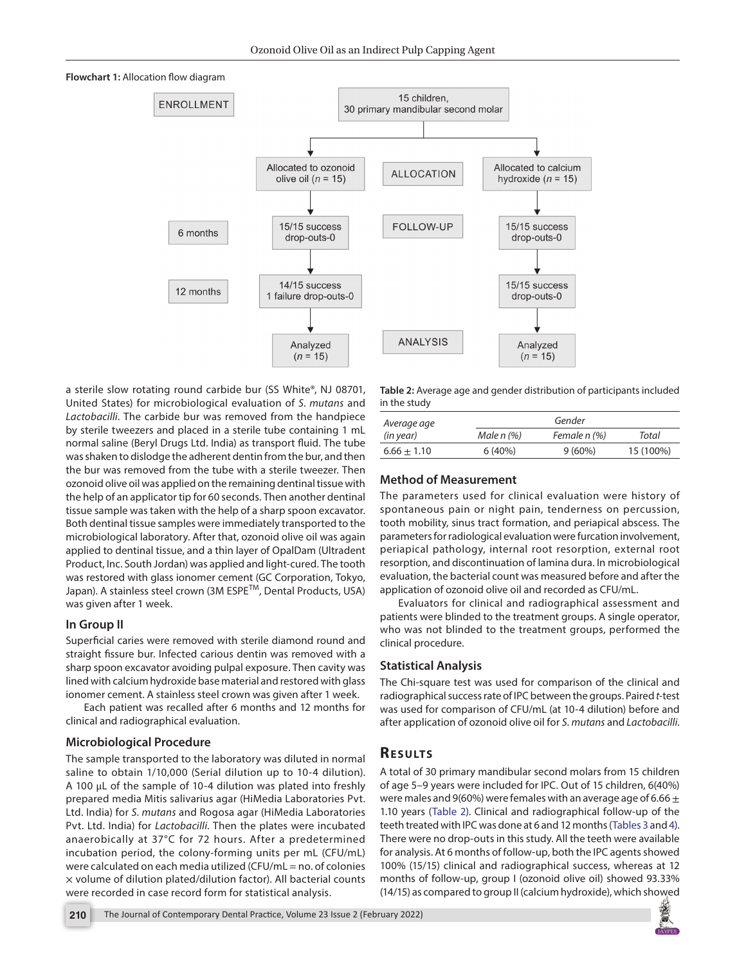<span id="page-2-0"></span>



a sterile slow rotating round carbide bur (SS White®, NJ 08701, United States) for microbiological evaluation of *S. mutans* and *Lactobacilli*. The carbide bur was removed from the handpiece by sterile tweezers and placed in a sterile tube containing 1 mL normal saline (Beryl Drugs Ltd. India) as transport fluid. The tube was shaken to dislodge the adherent dentin from the bur, and then the bur was removed from the tube with a sterile tweezer. Then ozonoid olive oil was applied on the remaining dentinal tissue with the help of an applicator tip for 60 seconds. Then another dentinal tissue sample was taken with the help of a sharp spoon excavator. Both dentinal tissue samples were immediately transported to the microbiological laboratory. After that, ozonoid olive oil was again applied to dentinal tissue, and a thin layer of OpalDam (Ultradent Product, Inc. South Jordan) was applied and light-cured. The tooth was restored with glass ionomer cement (GC Corporation, Tokyo, Japan). A stainless steel crown (3M ESPETM, Dental Products, USA) was given after 1 week.

## **In Group II**

Superficial caries were removed with sterile diamond round and straight fissure bur. Infected carious dentin was removed with a sharp spoon excavator avoiding pulpal exposure. Then cavity was lined with calcium hydroxide base material and restored with glass ionomer cement. A stainless steel crown was given after 1 week.

Each patient was recalled after 6 months and 12 months for clinical and radiographical evaluation.

# **Microbiological Procedure**

The sample transported to the laboratory was diluted in normal saline to obtain 1/10,000 (Serial dilution up to 10-4 dilution). A 100 μL of the sample of 10-4 dilution was plated into freshly prepared media Mitis salivarius agar (HiMedia Laboratories Pvt. Ltd. India) for *S. mutans* and Rogosa agar (HiMedia Laboratories Pvt. Ltd. India) for *Lactobacilli*. Then the plates were incubated anaerobically at 37°C for 72 hours. After a predetermined incubation period, the colony-forming units per mL (CFU/mL) were calculated on each media utilized (CFU/mL = no. of colonies  $\times$  volume of dilution plated/dilution factor). All bacterial counts were recorded in case record form for statistical analysis.

<span id="page-2-1"></span>**Table 2:** Average age and gender distribution of participants included in the study

| Average age   | Gender     |              |           |  |
|---------------|------------|--------------|-----------|--|
| (in year)     | Male n (%) | Female n (%) | Total     |  |
| $6.66 + 1.10$ | 6(40%)     | $9(60\%)$    | 15 (100%) |  |

# **Method of Measurement**

The parameters used for clinical evaluation were history of spontaneous pain or night pain, tenderness on percussion, tooth mobility, sinus tract formation, and periapical abscess. The parameters for radiological evaluation were furcation involvement, periapical pathology, internal root resorption, external root resorption, and discontinuation of lamina dura. In microbiological evaluation, the bacterial count was measured before and after the application of ozonoid olive oil and recorded as CFU/mL.

Evaluators for clinical and radiographical assessment and patients were blinded to the treatment groups. A single operator, who was not blinded to the treatment groups, performed the clinical procedure.

# **Statistical Analysis**

The Chi-square test was used for comparison of the clinical and radiographical success rate of IPC between the groups. Paired *t-*test was used for comparison of CFU/mL (at 10-4 dilution) before and after application of ozonoid olive oil for *S. mutans* and *Lactobacilli*.

# **RESULTS**

A total of 30 primary mandibular second molars from 15 children of age 5–9 years were included for IPC. Out of 15 children, 6(40%) were males and 9(60%) were females with an average age of 6.66  $\pm$ 1.10 years ([Table 2](#page-2-1)). Clinical and radiographical follow-up of the teeth treated with IPC was done at 6 and 12 months ([Tables 3](#page-3-0) and [4\)](#page-3-1). There were no drop-outs in this study. All the teeth were available for analysis. At 6 months of follow-up, both the IPC agents showed 100% (15/15) clinical and radiographical success, whereas at 12 months of follow-up, group I (ozonoid olive oil) showed 93.33% (14/15) as compared to group II (calcium hydroxide), which showed

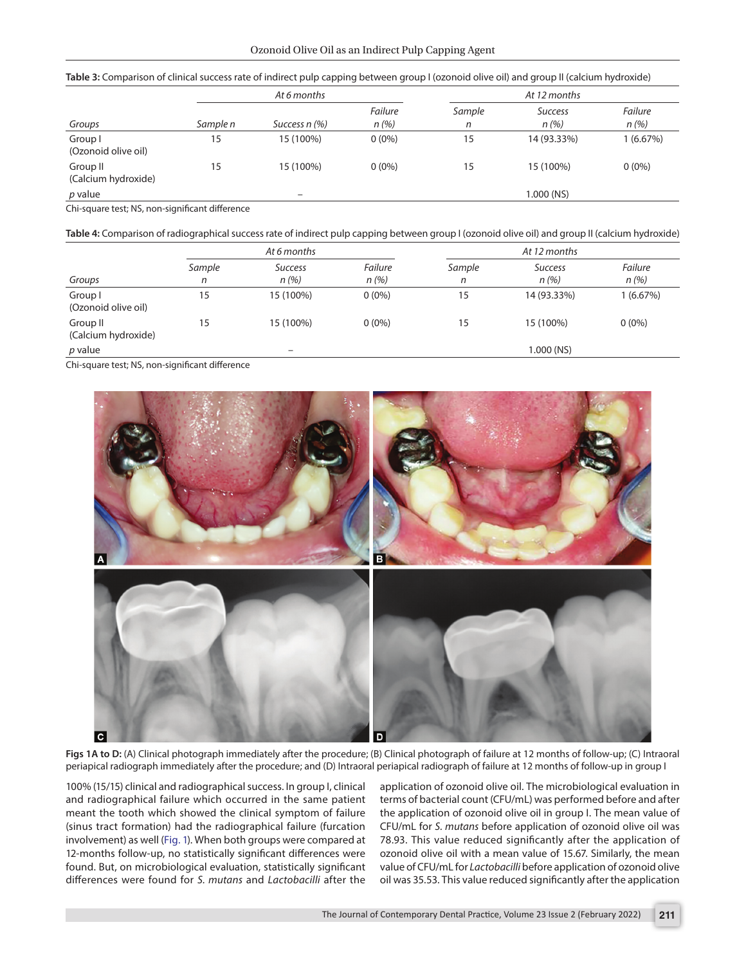<span id="page-3-0"></span>

|  |  | Table 3: Comparison of clinical success rate of indirect pulp capping between group I (ozonoid olive oil) and group II (calcium hydroxide) |
|--|--|--------------------------------------------------------------------------------------------------------------------------------------------|
|--|--|--------------------------------------------------------------------------------------------------------------------------------------------|

|                                 | At 6 months |                 |                 | At 12 months |                        |                 |
|---------------------------------|-------------|-----------------|-----------------|--------------|------------------------|-----------------|
| Groups                          | Sample n    | Success n (%)   | Failure<br>n(%) | Sample<br>n  | <b>Success</b><br>n(%) | Failure<br>n(%) |
| Group I<br>(Ozonoid olive oil)  | 15          | 15 (100%)       | $0(0\%)$        | 15           | 14 (93.33%)            | 1(6.67%)        |
| Group II<br>(Calcium hydroxide) | 15          | 15 (100%)       | $0(0\%)$        | 15           | 15 (100%)              | $0(0\%)$        |
| p value                         |             | $\qquad \qquad$ |                 |              | 1.000 (NS)             |                 |

Chi-square test; NS, non-significant difference

<span id="page-3-1"></span>**Table 4:** Comparison of radiographical success rate of indirect pulp capping between group I (ozonoid olive oil) and group II (calcium hydroxide)

|                                 | At 6 months |                          |                 | At 12 months |                        |                        |
|---------------------------------|-------------|--------------------------|-----------------|--------------|------------------------|------------------------|
| Groups                          | Sample<br>n | <b>Success</b><br>n(%)   | Failure<br>n(%) | Sample<br>n  | <b>Success</b><br>n(%) | <b>Failure</b><br>n(%) |
| Group I<br>(Ozonoid olive oil)  | 15          | 15 (100%)                | $0(0\%)$        | 15           | 14 (93.33%)            | 1(6.67%)               |
| Group II<br>(Calcium hydroxide) | 15          | 15 (100%)                | $0(0\%)$        | 15           | 15 (100%)              | $0(0\%)$               |
| p value                         |             | $\overline{\phantom{m}}$ |                 |              | 1.000 (NS)             |                        |

Chi-square test; NS, non-significant difference



<span id="page-3-2"></span>**Figs 1A to D:** (A) Clinical photograph immediately after the procedure; (B) Clinical photograph of failure at 12 months of follow-up; (C) Intraoral periapical radiograph immediately after the procedure; and (D) Intraoral periapical radiograph of failure at 12 months of follow-up in group I

100% (15/15) clinical and radiographical success. In group I, clinical and radiographical failure which occurred in the same patient meant the tooth which showed the clinical symptom of failure (sinus tract formation) had the radiographical failure (furcation involvement) as well ([Fig. 1\)](#page-3-2). When both groups were compared at 12-months follow-up, no statistically significant differences were found. But, on microbiological evaluation, statistically significant differences were found for *S. mutans* and *Lactobacilli* after the

application of ozonoid olive oil. The microbiological evaluation in terms of bacterial count (CFU/mL) was performed before and after the application of ozonoid olive oil in group I. The mean value of CFU/mL for *S. mutans* before application of ozonoid olive oil was 78.93. This value reduced significantly after the application of ozonoid olive oil with a mean value of 15.67. Similarly, the mean value of CFU/mL for *Lactobacilli* before application of ozonoid olive oil was 35.53. This value reduced significantly after the application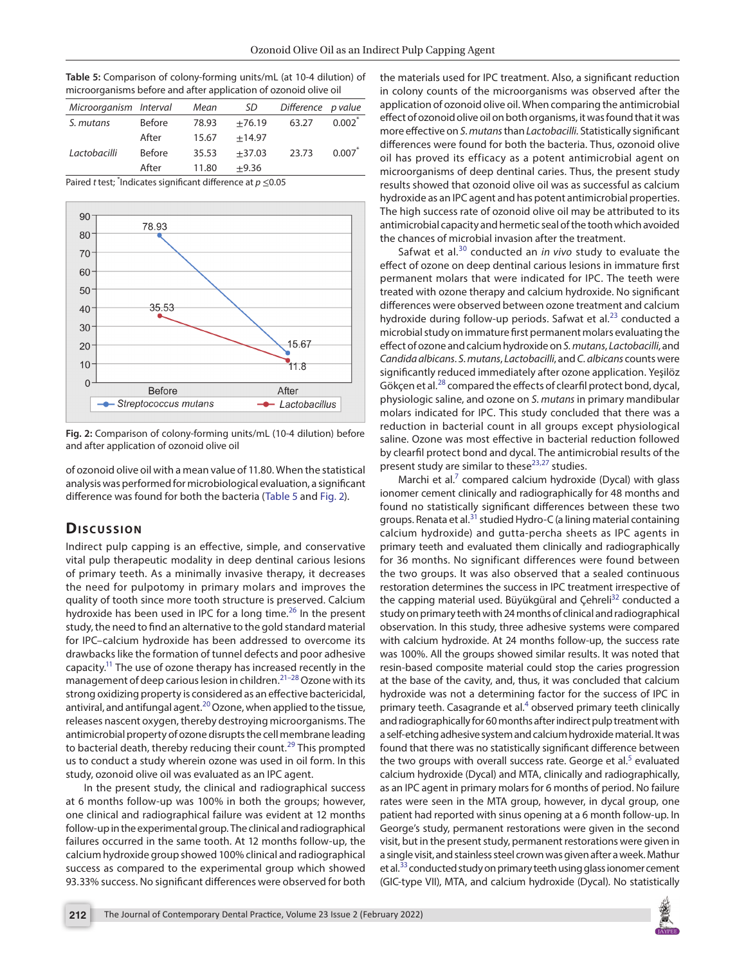<span id="page-4-0"></span>**Table 5:** Comparison of colony-forming units/mL (at 10-4 dilution) of microorganisms before and after application of ozonoid olive oil

| Microorganism Interval |               | Mean  | SD       | Difference p value |           |
|------------------------|---------------|-------|----------|--------------------|-----------|
| S. mutans              | <b>Before</b> | 78.93 | $+76.19$ | 63.27              | $0.002^*$ |
|                        | After         | 15.67 | $+14.97$ |                    |           |
| Lactobacilli           | <b>Before</b> | 35.53 | $+37.03$ | 23.73              | 0.007     |
|                        | After         | 11.80 | $+9.36$  |                    |           |

Paired *t* test; \* Indicates significant difference at *p* ≤0.05



<span id="page-4-1"></span>**Fig. 2:** Comparison of colony-forming units/mL (10-4 dilution) before and after application of ozonoid olive oil

of ozonoid olive oil with a mean value of 11.80. When the statistical analysis was performed for microbiological evaluation, a significant difference was found for both the bacteria ([Table 5](#page-4-0) and [Fig. 2\)](#page-4-1).

## **Dis c u s sio n**

Indirect pulp capping is an effective, simple, and conservative vital pulp therapeutic modality in deep dentinal carious lesions of primary teeth. As a minimally invasive therapy, it decreases the need for pulpotomy in primary molars and improves the quality of tooth since more tooth structure is preserved. Calcium hydroxide has been used in IPC for a long time.<sup>26</sup> In the present study, the need to find an alternative to the gold standard material for IPC–calcium hydroxide has been addressed to overcome its drawbacks like the formation of tunnel defects and poor adhesive capacity.<sup>11</sup> The use of ozone therapy has increased recently in the management of deep carious lesion in children.[21](#page-6-7)[–28](#page-6-10) Ozone with its strong oxidizing property is considered as an effective bactericidal, antiviral, and antifungal agent. $^{20}$  Ozone, when applied to the tissue, releases nascent oxygen, thereby destroying microorganisms. The antimicrobial property of ozone disrupts the cell membrane leading to bacterial death, thereby reducing their count.<sup>[29](#page-6-11)</sup> This prompted us to conduct a study wherein ozone was used in oil form. In this study, ozonoid olive oil was evaluated as an IPC agent.

In the present study, the clinical and radiographical success at 6 months follow-up was 100% in both the groups; however, one clinical and radiographical failure was evident at 12 months follow-up in the experimental group. The clinical and radiographical failures occurred in the same tooth. At 12 months follow-up, the calcium hydroxide group showed 100% clinical and radiographical success as compared to the experimental group which showed 93.33% success. No significant differences were observed for both

the materials used for IPC treatment. Also, a significant reduction in colony counts of the microorganisms was observed after the application of ozonoid olive oil. When comparing the antimicrobial effect of ozonoid olive oil on both organisms, it was found that it was more effective on *S. mutans* than *Lactobacilli.* Statistically significant differences were found for both the bacteria. Thus, ozonoid olive oil has proved its efficacy as a potent antimicrobial agent on microorganisms of deep dentinal caries. Thus, the present study results showed that ozonoid olive oil was as successful as calcium hydroxide as an IPC agent and has potent antimicrobial properties. The high success rate of ozonoid olive oil may be attributed to its antimicrobial capacity and hermetic seal of the tooth which avoided the chances of microbial invasion after the treatment.

Safwat et al.[30](#page-6-12) conducted an *in vivo* study to evaluate the effect of ozone on deep dentinal carious lesions in immature first permanent molars that were indicated for IPC. The teeth were treated with ozone therapy and calcium hydroxide. No significant differences were observed between ozone treatment and calcium hydroxide during follow-up periods. Safwat et al. $^{23}$  $^{23}$  $^{23}$  conducted a microbial study on immature first permanent molars evaluating the effect of ozone and calcium hydroxide on *S. mutans*, *Lactobacilli*, and *Candida albicans*. *S. mutans*, *Lactobacilli*, and *C. albicans* counts were significantly reduced immediately after ozone application. Yeşilöz Gökçen et al.<sup>28</sup> compared the effects of clearfil protect bond, dycal, physiologic saline, and ozone on *S. mutans* in primary mandibular molars indicated for IPC. This study concluded that there was a reduction in bacterial count in all groups except physiological saline. Ozone was most effective in bacterial reduction followed by clearfil protect bond and dycal. The antimicrobial results of the present study are similar to these<sup>[23](#page-6-13),[27](#page-6-14)</sup> studies.

Marchi et al. $^7$  compared calcium hydroxide (Dycal) with glass ionomer cement clinically and radiographically for 48 months and found no statistically significant differences between these two groups. Renata et al.<sup>[31](#page-6-15)</sup> studied Hydro-C (a lining material containing calcium hydroxide) and gutta-percha sheets as IPC agents in primary teeth and evaluated them clinically and radiographically for 36 months. No significant differences were found between the two groups. It was also observed that a sealed continuous restoration determines the success in IPC treatment irrespective of the capping material used. Büyükgüral and Çehreli<sup>32</sup> conducted a study on primary teeth with 24 months of clinical and radiographical observation. In this study, three adhesive systems were compared with calcium hydroxide. At 24 months follow-up, the success rate was 100%. All the groups showed similar results. It was noted that resin-based composite material could stop the caries progression at the base of the cavity, and, thus, it was concluded that calcium hydroxide was not a determining factor for the success of IPC in primary teeth. Casagrande et al.<sup>[4](#page-5-4)</sup> observed primary teeth clinically and radiographically for 60 months after indirect pulp treatment with a self-etching adhesive system and calcium hydroxide material. It was found that there was no statistically significant difference between the two groups with overall success rate. George et al.<sup>[5](#page-5-3)</sup> evaluated calcium hydroxide (Dycal) and MTA, clinically and radiographically, as an IPC agent in primary molars for 6 months of period. No failure rates were seen in the MTA group, however, in dycal group, one patient had reported with sinus opening at a 6 month follow-up. In George's study, permanent restorations were given in the second visit, but in the present study, permanent restorations were given in a single visit, and stainless steel crown was given after a week. Mathur et al.<sup>33</sup> conducted study on primary teeth using glass ionomer cement (GIC-type VII), MTA, and calcium hydroxide (Dycal). No statistically

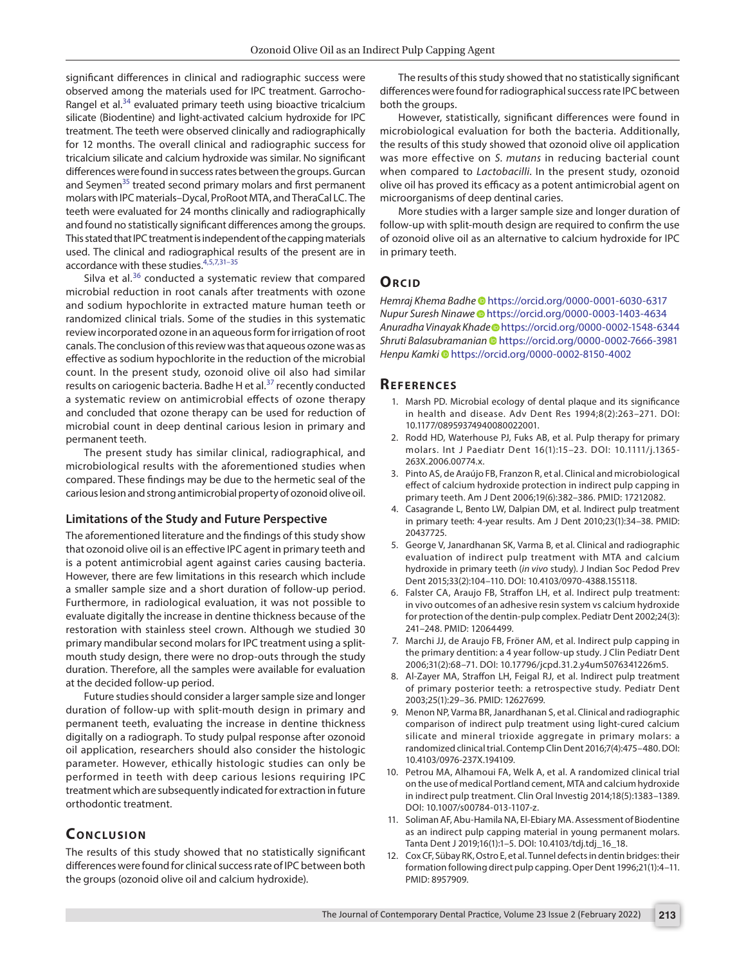significant differences in clinical and radiographic success were observed among the materials used for IPC treatment. Garrocho-Rangel et al.<sup>[34](#page-6-18)</sup> evaluated primary teeth using bioactive tricalcium silicate (Biodentine) and light-activated calcium hydroxide for IPC treatment. The teeth were observed clinically and radiographically for 12 months. The overall clinical and radiographic success for tricalcium silicate and calcium hydroxide was similar. No significant differences were found in success rates between the groups. Gurcan and Seymen<sup>35</sup> treated second primary molars and first permanent molars with IPC materials–Dycal, ProRoot MTA, and TheraCal LC. The teeth were evaluated for 24 months clinically and radiographically and found no statistically significant differences among the groups. This stated that IPC treatment is independent of the capping materials used. The clinical and radiographical results of the present are in accordance with these studies.[4](#page-5-4),[5,](#page-5-3)[7,](#page-5-6)[31](#page-6-15)[–35](#page-6-19)

Silva et al. $36$  conducted a systematic review that compared microbial reduction in root canals after treatments with ozone and sodium hypochlorite in extracted mature human teeth or randomized clinical trials. Some of the studies in this systematic review incorporated ozone in an aqueous form for irrigation of root canals. The conclusion of this review was that aqueous ozone was as effective as sodium hypochlorite in the reduction of the microbial count. In the present study, ozonoid olive oil also had similar results on cariogenic bacteria. Badhe H et al.<sup>[37](#page-6-21)</sup> recently conducted a systematic review on antimicrobial effects of ozone therapy and concluded that ozone therapy can be used for reduction of microbial count in deep dentinal carious lesion in primary and permanent teeth.

The present study has similar clinical, radiographical, and microbiological results with the aforementioned studies when compared. These findings may be due to the hermetic seal of the carious lesion and strong antimicrobial property of ozonoid olive oil.

#### **Limitations of the Study and Future Perspective**

The aforementioned literature and the findings of this study show that ozonoid olive oil is an effective IPC agent in primary teeth and is a potent antimicrobial agent against caries causing bacteria. However, there are few limitations in this research which include a smaller sample size and a short duration of follow-up period. Furthermore, in radiological evaluation, it was not possible to evaluate digitally the increase in dentine thickness because of the restoration with stainless steel crown. Although we studied 30 primary mandibular second molars for IPC treatment using a splitmouth study design, there were no drop-outs through the study duration. Therefore, all the samples were available for evaluation at the decided follow-up period.

Future studies should consider a larger sample size and longer duration of follow-up with split-mouth design in primary and permanent teeth, evaluating the increase in dentine thickness digitally on a radiograph. To study pulpal response after ozonoid oil application, researchers should also consider the histologic parameter. However, ethically histologic studies can only be performed in teeth with deep carious lesions requiring IPC treatment which are subsequently indicated for extraction in future orthodontic treatment.

# **CONCLUSION**

The results of this study showed that no statistically significant differences were found for clinical success rate of IPC between both the groups (ozonoid olive oil and calcium hydroxide).

The results of this study showed that no statistically significant differences were found for radiographical success rate IPC between both the groups.

However, statistically, significant differences were found in microbiological evaluation for both the bacteria. Additionally, the results of this study showed that ozonoid olive oil application was more effective on *S. mutans* in reducing bacterial count when compared to *Lactobacilli*. In the present study, ozonoid olive oil has proved its efficacy as a potent antimicrobial agent on microorganisms of deep dentinal caries.

More studies with a larger sample size and longer duration of follow-up with split-mouth design are required to confirm the use of ozonoid olive oil as an alternative to calcium hydroxide for IPC in primary teeth.

#### **ORCID**

*Hemraj Khema Badh[e](https://orcid.org/0000-0001-6030-6317)* https://orcid.org/0000-0001-6030-6317 *Nupur Suresh Ninawe*https://orcid.org/0000-0003-1403-4634 *Anuradha Vinayak Khad[e](https://orcid.org/0000-0002-1548-6344)* https://orcid.org/0000-0002-1548-6344 *Shruti Balasubramanian*https://orcid.org/0000-0002-7666-3981 *Henpu Kamk[i](https://orcid.org/0000-0002-8150-4002)* https://orcid.org/0000-0002-8150-4002

#### **REFERENCES**

- <span id="page-5-0"></span>1. Marsh PD. Microbial ecology of dental plaque and its significance in health and disease. Adv Dent Res 1994;8(2):263–271. DOI: 10.1177/08959374940080022001.
- <span id="page-5-1"></span>2. Rodd HD, Waterhouse PJ, Fuks AB, et al. Pulp therapy for primary molars. Int J Paediatr Dent 16(1):15–23. DOI: 10.1111/j.1365- 263X.2006.00774.x.
- <span id="page-5-2"></span>3. Pinto AS, de Araújo FB, Franzon R, et al. Clinical and microbiological effect of calcium hydroxide protection in indirect pulp capping in primary teeth. Am J Dent 2006;19(6):382–386. PMID: 17212082.
- <span id="page-5-4"></span>4. Casagrande L, Bento LW, Dalpian DM, et al. Indirect pulp treatment in primary teeth: 4-year results. Am J Dent 2010;23(1):34–38. PMID: 20437725.
- <span id="page-5-3"></span>5. George V, Janardhanan SK, Varma B, et al. Clinical and radiographic evaluation of indirect pulp treatment with MTA and calcium hydroxide in primary teeth (*in vivo* study). J Indian Soc Pedod Prev Dent 2015;33(2):104–110. DOI: 10.4103/0970-4388.155118.
- <span id="page-5-5"></span>6. Falster CA, Araujo FB, Straffon LH, et al. Indirect pulp treatment: in vivo outcomes of an adhesive resin system vs calcium hydroxide for protection of the dentin-pulp complex. Pediatr Dent 2002;24(3): 241–248. PMID: 12064499.
- <span id="page-5-6"></span>7. Marchi JJ, de Araujo FB, Fröner AM, et al. Indirect pulp capping in the primary dentition: a 4 year follow-up study. J Clin Pediatr Dent 2006;31(2):68–71. DOI: 10.17796/jcpd.31.2.y4um5076341226m5.
- <span id="page-5-7"></span>8. Al-Zayer MA, Straffon LH, Feigal RJ, et al. Indirect pulp treatment of primary posterior teeth: a retrospective study. Pediatr Dent 2003;25(1):29–36. PMID: 12627699.
- <span id="page-5-8"></span>9. Menon NP, Varma BR, Janardhanan S, et al. Clinical and radiographic comparison of indirect pulp treatment using light-cured calcium silicate and mineral trioxide aggregate in primary molars: a randomized clinical trial. Contemp Clin Dent 2016;7(4):475–480. DOI: 10.4103/0976-237X.194109.
- <span id="page-5-9"></span>10. Petrou MA, Alhamoui FA, Welk A, et al. A randomized clinical trial on the use of medical Portland cement, MTA and calcium hydroxide in indirect pulp treatment. Clin Oral Investig 2014;18(5):1383–1389. DOI: 10.1007/s00784-013-1107-z.
- <span id="page-5-10"></span>11. Soliman AF, Abu-Hamila NA, El-Ebiary MA. Assessment of Biodentine as an indirect pulp capping material in young permanent molars. Tanta Dent J 2019;16(1):1–5. DOI: 10.4103/tdj.tdj\_16\_18.
- <span id="page-5-11"></span>12. Cox CF, Sübay RK, Ostro E, et al. Tunnel defects in dentin bridges: their formation following direct pulp capping. Oper Dent 1996;21(1):4–11. PMID: 8957909.